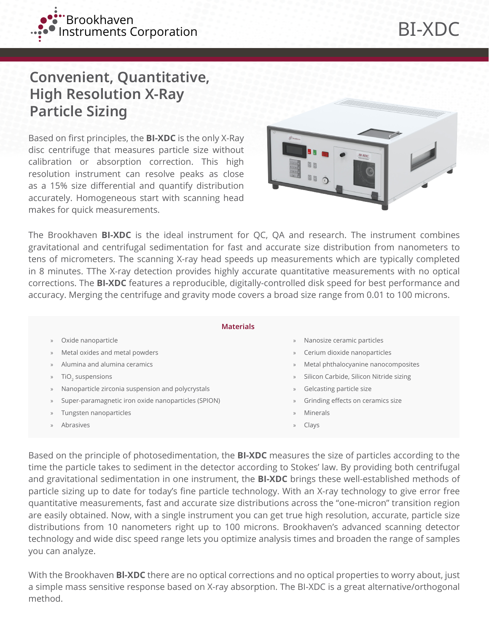

## **Convenient, Quantitative, High Resolution X-Ray Particle Sizing**

Based on first principles, the **BI-XDC** is the only X-Ray disc centrifuge that measures particle size without calibration or absorption correction. This high resolution instrument can resolve peaks as close as a 15% size differential and quantify distribution accurately. Homogeneous start with scanning head makes for quick measurements.



The Brookhaven **BI-XDC** is the ideal instrument for QC, QA and research. The instrument combines gravitational and centrifugal sedimentation for fast and accurate size distribution from nanometers to tens of micrometers. The scanning X-ray head speeds up measurements which are typically completed in 8 minutes. TThe X-ray detection provides highly accurate quantitative measurements with no optical corrections. The **BI-XDC** features a reproducible, digitally-controlled disk speed for best performance and accuracy. Merging the centrifuge and gravity mode covers a broad size range from 0.01 to 100 microns.

| <b>Materials</b> |                    |                                                     |           |                                         |  |
|------------------|--------------------|-----------------------------------------------------|-----------|-----------------------------------------|--|
|                  | $\rangle$          | Oxide nanoparticle                                  | $\rangle$ | Nanosize ceramic particles              |  |
|                  | $\rangle\!\rangle$ | Metal oxides and metal powders                      | $\rangle$ | Cerium dioxide nanoparticles            |  |
|                  | $\rangle$          | Alumina and alumina ceramics                        | $\rangle$ | Metal phthalocyanine nanocomposites     |  |
|                  | $\rangle\!\rangle$ | TiO <sub>2</sub> suspensions                        | $\rangle$ | Silicon Carbide, Silicon Nitride sizing |  |
|                  | $\gg$              | Nanoparticle zirconia suspension and polycrystals   | $\rangle$ | Gelcasting particle size                |  |
|                  | $\rangle\!\rangle$ | Super-paramagnetic iron oxide nanoparticles (SPION) | $\rangle$ | Grinding effects on ceramics size       |  |
|                  | $\rangle$          | Tungsten nanoparticles                              | $\rangle$ | Minerals                                |  |
|                  | $\mathcal{V}$      | Abrasives                                           | $\rangle$ | Clays                                   |  |
|                  |                    |                                                     |           |                                         |  |

Based on the principle of photosedimentation, the **BI-XDC** measures the size of particles according to the time the particle takes to sediment in the detector according to Stokes' law. By providing both centrifugal and gravitational sedimentation in one instrument, the **BI-XDC** brings these well-established methods of particle sizing up to date for today's fine particle technology. With an X-ray technology to give error free quantitative measurements, fast and accurate size distributions across the "one-micron" transition region are easily obtained. Now, with a single instrument you can get true high resolution, accurate, particle size distributions from 10 nanometers right up to 100 microns. Brookhaven's advanced scanning detector technology and wide disc speed range lets you optimize analysis times and broaden the range of samples you can analyze.

With the Brookhaven **Bl-XDC** there are no optical corrections and no optical properties to worry about, just a simple mass sensitive response based on X-ray absorption. The BI-XDC is a great alternative/orthogonal method.